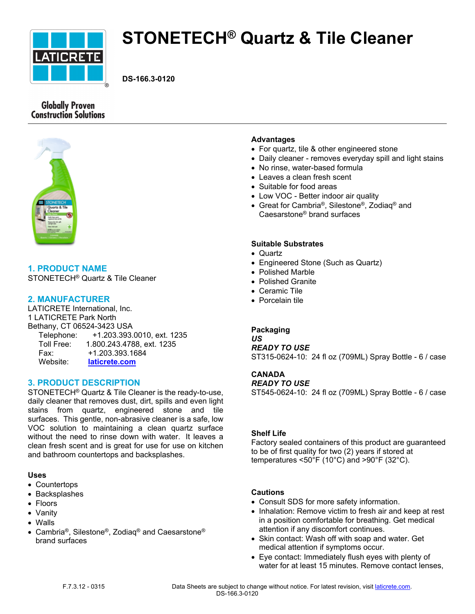

# **STONETECH® Quartz & Tile Cleaner**

**DS-166.3-0120**

# **Globally Proven Construction Solutions**



# **1. PRODUCT NAME**

STONETECH® Quartz & Tile Cleaner

## **2. MANUFACTURER**

LATICRETE International, Inc. 1 LATICRETE Park North Bethany, CT 06524-3423 USA Telephone: +1.203.393.0010, ext. 1235 Toll Free: 1.800.243.4788, ext. 1235 Fax: +1.203.393.1684 Website: **[laticrete.com](https://laticrete.com/)**

## **3. PRODUCT DESCRIPTION**

STONETECH® Quartz & Tile Cleaner is the ready-to-use, daily cleaner that removes dust, dirt, spills and even light stains from quartz, engineered stone and tile surfaces. This gentle, non-abrasive cleaner is a safe, low VOC solution to maintaining a clean quartz surface without the need to rinse down with water. It leaves a clean fresh scent and is great for use for use on kitchen and bathroom countertops and backsplashes.

#### **Uses**

- Countertops
- Backsplashes
- Floors
- Vanity
- Walls
- Cambria®, Silestone®, Zodiaq® and Caesarstone® brand surfaces

## **Advantages**

- For quartz, tile & other engineered stone
- Daily cleaner removes everyday spill and light stains
- No rinse, water-based formula
- Leaves a clean fresh scent
- Suitable for food areas
- Low VOC Better indoor air quality
- Great for Cambria®, Silestone®, Zodiaq® and Caesarstone® brand surfaces

## **Suitable Substrates**

- Quartz
- Engineered Stone (Such as Quartz)
- Polished Marble
- Polished Granite
- Ceramic Tile
- Porcelain tile

#### **Packaging**

# *US*

*READY TO USE*

ST315-0624-10: 24 fl oz (709ML) Spray Bottle - 6 / case

## **CANADA**

#### *READY TO USE*

ST545-0624-10: 24 fl oz (709ML) Spray Bottle - 6 / case

#### **Shelf Life**

Factory sealed containers of this product are guaranteed to be of first quality for two (2) years if stored at temperatures <50°F (10°C) and >90°F (32°C).

#### **Cautions**

- Consult SDS for more safety information.
- Inhalation: Remove victim to fresh air and keep at rest in a position comfortable for breathing. Get medical attention if any discomfort continues.
- Skin contact: Wash off with soap and water. Get medical attention if symptoms occur.
- Eye contact: Immediately flush eyes with plenty of water for at least 15 minutes. Remove contact lenses,